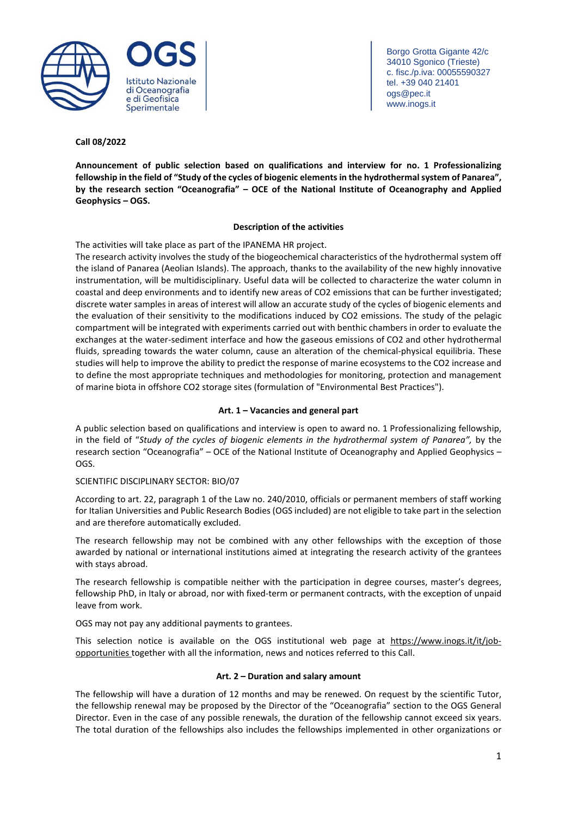

Borgo Grotta Gigante 42/c 34010 Sgonico (Trieste) c. fisc./p.iva: 00055590327 tel. +39 040 21401 ogs@pec.it www.inogs.it

## **Call 08/2022**

**Announcement of public selection based on qualifications and interview for no. 1 Professionalizing** fellowship in the field of "Study of the cycles of biogenic elements in the hydrothermal system of Panarea", **by the research section "Oceanografia" – OCE of the National Institute of Oceanography and Applied Geophysics – OGS.**

## **Description of the activities**

The activities will take place as part of the IPANEMA HR project.

The research activity involves the study of the biogeochemical characteristics of the hydrothermal system off the island of Panarea (Aeolian Islands). The approach, thanks to the availability of the new highly innovative instrumentation, will be multidisciplinary. Useful data will be collected to characterize the water column in coastal and deep environments and to identify new areas of CO2 emissions that can be further investigated; discrete water samples in areas of interest will allow an accurate study of the cycles of biogenic elements and the evaluation of their sensitivity to the modifications induced by CO2 emissions. The study of the pelagic compartment will be integrated with experiments carried out with benthic chambers in order to evaluate the exchanges at the water-sediment interface and how the gaseous emissions of CO2 and other hydrothermal fluids, spreading towards the water column, cause an alteration of the chemical-physical equilibria. These studies will help to improve the ability to predict the response of marine ecosystems to the CO2 increase and to define the most appropriate techniques and methodologies for monitoring, protection and management of marine biota in offshore CO2 storage sites (formulation of "Environmental Best Practices").

## **Art. 1 – Vacancies and general part**

A public selection based on qualifications and interview is open to award no. 1 Professionalizing fellowship, in the field of "*Study of the cycles of biogenic elements in the hydrothermal system of Panarea",* by the research section "Oceanografia" – OCE of the National Institute of Oceanography and Applied Geophysics – OGS.

## SCIENTIFIC DISCIPLINARY SECTOR: BIO/07

According to art. 22, paragraph 1 of the Law no. 240/2010, officials or permanent members of staff working for Italian Universities and Public Research Bodies (OGS included) are not eligible to take part in the selection and are therefore automatically excluded.

The research fellowship may not be combined with any other fellowships with the exception of those awarded by national or international institutions aimed at integrating the research activity of the grantees with stays abroad.

The research fellowship is compatible neither with the participation in degree courses, master's degrees, fellowship PhD, in Italy or abroad, nor with fixed-term or permanent contracts, with the exception of unpaid leave from work.

OGS may not pay any additional payments to grantees.

This selection notice is available on the OGS institutional web page at [https://www.inogs.it/it/job](https://www.inogs.it/it/job-opportunities)[opportunities](https://www.inogs.it/it/job-opportunities) together with all the information, news and notices referred to this Call.

## **Art. 2 – Duration and salary amount**

The fellowship will have a duration of 12 months and may be renewed. On request by the scientific Tutor, the fellowship renewal may be proposed by the Director of the "Oceanografia" section to the OGS General Director. Even in the case of any possible renewals, the duration of the fellowship cannot exceed six years. The total duration of the fellowships also includes the fellowships implemented in other organizations or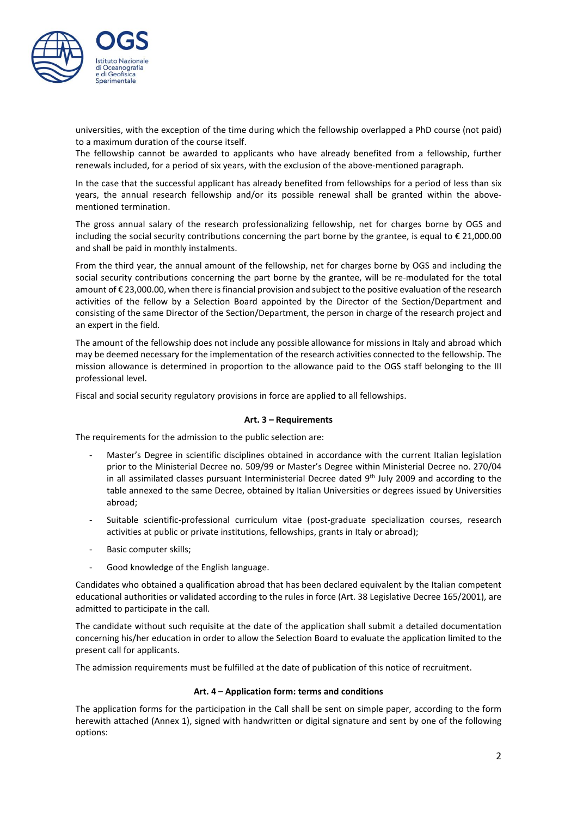

universities, with the exception of the time during which the fellowship overlapped a PhD course (not paid) to a maximum duration of the course itself.

The fellowship cannot be awarded to applicants who have already benefited from a fellowship, further renewals included, for a period of six years, with the exclusion of the above-mentioned paragraph.

In the case that the successful applicant has already benefited from fellowships for a period of less than six years, the annual research fellowship and/or its possible renewal shall be granted within the abovementioned termination.

The gross annual salary of the research professionalizing fellowship, net for charges borne by OGS and including the social security contributions concerning the part borne by the grantee, is equal to € 21,000.00 and shall be paid in monthly instalments.

From the third year, the annual amount of the fellowship, net for charges borne by OGS and including the social security contributions concerning the part borne by the grantee, will be re-modulated for the total amount of € 23,000.00, when there isfinancial provision and subject to the positive evaluation of the research activities of the fellow by a Selection Board appointed by the Director of the Section/Department and consisting of the same Director of the Section/Department, the person in charge of the research project and an expert in the field.

The amount of the fellowship does not include any possible allowance for missions in Italy and abroad which may be deemed necessary for the implementation of the research activities connected to the fellowship. The mission allowance is determined in proportion to the allowance paid to the OGS staff belonging to the III professional level.

Fiscal and social security regulatory provisions in force are applied to all fellowships.

#### **Art. 3 – Requirements**

The requirements for the admission to the public selection are:

- Master's Degree in scientific disciplines obtained in accordance with the current Italian legislation prior to the Ministerial Decree no. 509/99 or Master's Degree within Ministerial Decree no. 270/04 in all assimilated classes pursuant Interministerial Decree dated 9<sup>th</sup> July 2009 and according to the table annexed to the same Decree, obtained by Italian Universities or degrees issued by Universities abroad;
- Suitable scientific-professional curriculum vitae (post-graduate specialization courses, research activities at public or private institutions, fellowships, grants in Italy or abroad);
- Basic computer skills;
- Good knowledge of the English language.

Candidates who obtained a qualification abroad that has been declared equivalent by the Italian competent educational authorities or validated according to the rules in force (Art. 38 Legislative Decree 165/2001), are admitted to participate in the call.

The candidate without such requisite at the date of the application shall submit a detailed documentation concerning his/her education in order to allow the Selection Board to evaluate the application limited to the present call for applicants.

The admission requirements must be fulfilled at the date of publication of this notice of recruitment.

#### **Art. 4 – Application form: terms and conditions**

The application forms for the participation in the Call shall be sent on simple paper, according to the form herewith attached (Annex 1), signed with handwritten or digital signature and sent by one of the following options: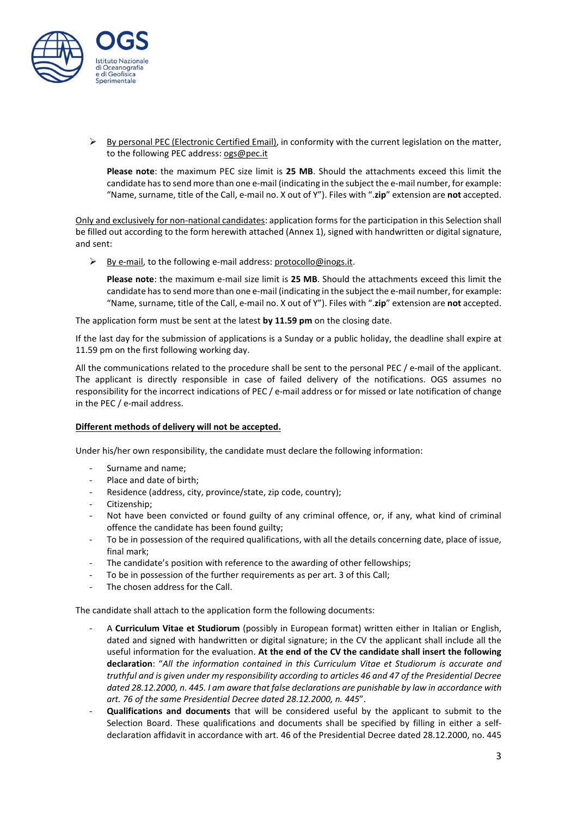

 $\triangleright$  By personal PEC (Electronic Certified Email), in conformity with the current legislation on the matter, to the following PEC address: [ogs@pec.it](mailto:ogs@pec.it)

**Please note**: the maximum PEC size limit is **25 MB**. Should the attachments exceed this limit the candidate hasto send more than one e-mail (indicating in the subject the e-mail number, for example: "Name, surname, title of the Call, e-mail no. X out of Y"). Files with ".**zip**" extension are **not** accepted.

Only and exclusively for non-national candidates: application forms for the participation in this Selection shall be filled out according to the form herewith attached (Annex 1), signed with handwritten or digital signature, and sent:

 $\triangleright$  By e-mail, to the following e-mail address: [protocollo@inogs.it.](mailto:protocollo@inogs.it)

**Please note**: the maximum e-mail size limit is **25 MB**. Should the attachments exceed this limit the candidate hasto send more than one e-mail (indicating in the subject the e-mail number, for example: "Name, surname, title of the Call, e-mail no. X out of Y"). Files with ".**zip**" extension are **not** accepted.

The application form must be sent at the latest **by 11.59 pm** on the closing date.

If the last day for the submission of applications is a Sunday or a public holiday, the deadline shall expire at 11.59 pm on the first following working day.

All the communications related to the procedure shall be sent to the personal PEC / e-mail of the applicant. The applicant is directly responsible in case of failed delivery of the notifications. OGS assumes no responsibility for the incorrect indications of PEC / e-mail address or for missed or late notification of change in the PEC / e-mail address.

## **Different methods of delivery will not be accepted.**

Under his/her own responsibility, the candidate must declare the following information:

- Surname and name;
- Place and date of birth;
- Residence (address, city, province/state, zip code, country);
- Citizenship;
- Not have been convicted or found guilty of any criminal offence, or, if any, what kind of criminal offence the candidate has been found guilty;
- To be in possession of the required qualifications, with all the details concerning date, place of issue, final mark;
- The candidate's position with reference to the awarding of other fellowships;
- To be in possession of the further requirements as per art. 3 of this Call;
- The chosen address for the Call.

The candidate shall attach to the application form the following documents:

- A **Curriculum Vitae et Studiorum** (possibly in European format) written either in Italian or English, dated and signed with handwritten or digital signature; in the CV the applicant shall include all the useful information for the evaluation. **At the end of the CV the candidate shall insert the following declaration**: "*All the information contained in this Curriculum Vitae et Studiorum is accurate and truthful and is given under my responsibility according to articles 46 and 47 of the Presidential Decree dated 28.12.2000, n. 445. I am aware that false declarations are punishable by law in accordance with art. 76 of the same Presidential Decree dated 28.12.2000, n. 445*".
- **Qualifications and documents** that will be considered useful by the applicant to submit to the Selection Board. These qualifications and documents shall be specified by filling in either a selfdeclaration affidavit in accordance with art. 46 of the Presidential Decree dated 28.12.2000, no. 445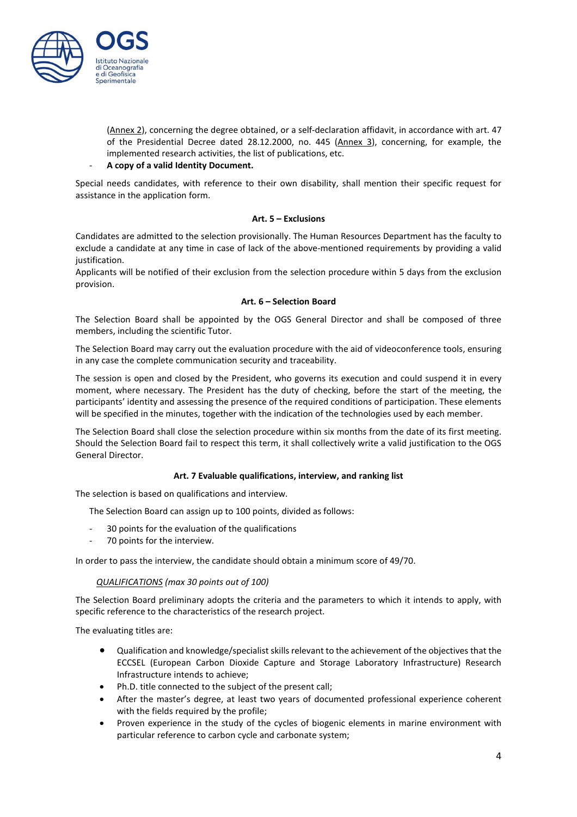

(Annex 2), concerning the degree obtained, or a self-declaration affidavit, in accordance with art. 47 of the Presidential Decree dated 28.12.2000, no. 445 (Annex 3), concerning, for example, the implemented research activities, the list of publications, etc.

## - **A copy of a valid Identity Document.**

Special needs candidates, with reference to their own disability, shall mention their specific request for assistance in the application form.

## **Art. 5 – Exclusions**

Candidates are admitted to the selection provisionally. The Human Resources Department has the faculty to exclude a candidate at any time in case of lack of the above-mentioned requirements by providing a valid justification.

Applicants will be notified of their exclusion from the selection procedure within 5 days from the exclusion provision.

## **Art. 6 – Selection Board**

The Selection Board shall be appointed by the OGS General Director and shall be composed of three members, including the scientific Tutor.

The Selection Board may carry out the evaluation procedure with the aid of videoconference tools, ensuring in any case the complete communication security and traceability.

The session is open and closed by the President, who governs its execution and could suspend it in every moment, where necessary. The President has the duty of checking, before the start of the meeting, the participants' identity and assessing the presence of the required conditions of participation. These elements will be specified in the minutes, together with the indication of the technologies used by each member.

The Selection Board shall close the selection procedure within six months from the date of its first meeting. Should the Selection Board fail to respect this term, it shall collectively write a valid justification to the OGS General Director.

## **Art. 7 Evaluable qualifications, interview, and ranking list**

The selection is based on qualifications and interview.

The Selection Board can assign up to 100 points, divided as follows:

- 30 points for the evaluation of the qualifications
- 70 points for the interview.

In order to pass the interview, the candidate should obtain a minimum score of 49/70.

## *QUALIFICATIONS (max 30 points out of 100)*

The Selection Board preliminary adopts the criteria and the parameters to which it intends to apply, with specific reference to the characteristics of the research project.

The evaluating titles are:

- Qualification and knowledge/specialist skills relevant to the achievement of the objectives that the ECCSEL (European Carbon Dioxide Capture and Storage Laboratory Infrastructure) Research Infrastructure intends to achieve;
- Ph.D. title connected to the subject of the present call;
- After the master's degree, at least two years of documented professional experience coherent with the fields required by the profile;
- Proven experience in the study of the cycles of biogenic elements in marine environment with particular reference to carbon cycle and carbonate system;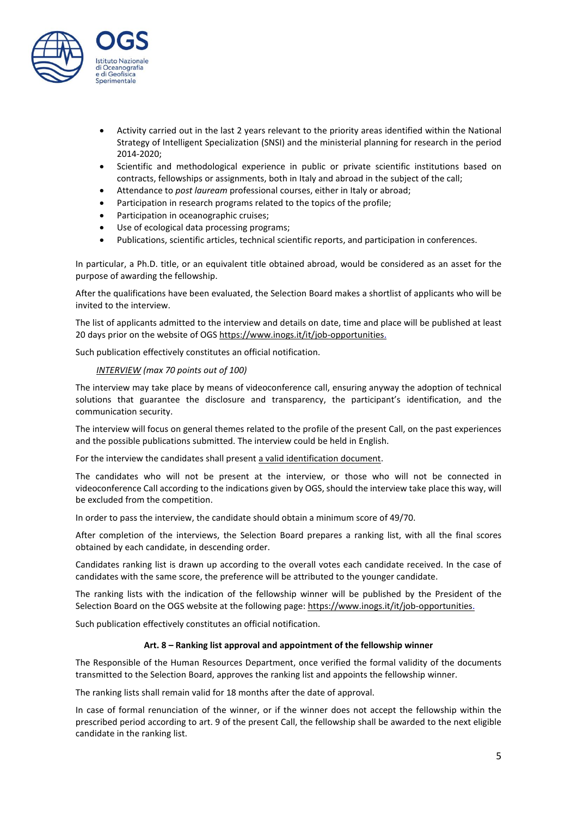

- Activity carried out in the last 2 years relevant to the priority areas identified within the National Strategy of Intelligent Specialization (SNSI) and the ministerial planning for research in the period 2014-2020;
- Scientific and methodological experience in public or private scientific institutions based on contracts, fellowships or assignments, both in Italy and abroad in the subject of the call;
- Attendance to *post lauream* professional courses, either in Italy or abroad;
- Participation in research programs related to the topics of the profile;
- Participation in oceanographic cruises;
- Use of ecological data processing programs;
- Publications, scientific articles, technical scientific reports, and participation in conferences.

In particular, a Ph.D. title, or an equivalent title obtained abroad, would be considered as an asset for the purpose of awarding the fellowship.

After the qualifications have been evaluated, the Selection Board makes a shortlist of applicants who will be invited to the interview.

The list of applicants admitted to the interview and details on date, time and place will be published at least 20 days prior on the website of OGS [https://www.inogs.it/it/job-opportunities.](https://www.inogs.it/it/job-opportunities)

Such publication effectively constitutes an official notification.

## *INTERVIEW (max 70 points out of 100)*

The interview may take place by means of videoconference call, ensuring anyway the adoption of technical solutions that guarantee the disclosure and transparency, the participant's identification, and the communication security.

The interview will focus on general themes related to the profile of the present Call, on the past experiences and the possible publications submitted. The interview could be held in English.

For the interview the candidates shall present a valid identification document.

The candidates who will not be present at the interview, or those who will not be connected in videoconference Call according to the indications given by OGS, should the interview take place this way, will be excluded from the competition.

In order to pass the interview, the candidate should obtain a minimum score of 49/70.

After completion of the interviews, the Selection Board prepares a ranking list, with all the final scores obtained by each candidate, in descending order.

Candidates ranking list is drawn up according to the overall votes each candidate received. In the case of candidates with the same score, the preference will be attributed to the younger candidate.

The ranking lists with the indication of the fellowship winner will be published by the President of the Selection Board on the OGS website at the following page: [https://www.inogs.it/it/job-opportunities.](https://www.inogs.it/it/job-opportunities)

Such publication effectively constitutes an official notification.

#### **Art. 8 – Ranking list approval and appointment of the fellowship winner**

The Responsible of the Human Resources Department, once verified the formal validity of the documents transmitted to the Selection Board, approves the ranking list and appoints the fellowship winner.

The ranking lists shall remain valid for 18 months after the date of approval.

In case of formal renunciation of the winner, or if the winner does not accept the fellowship within the prescribed period according to art. 9 of the present Call, the fellowship shall be awarded to the next eligible candidate in the ranking list.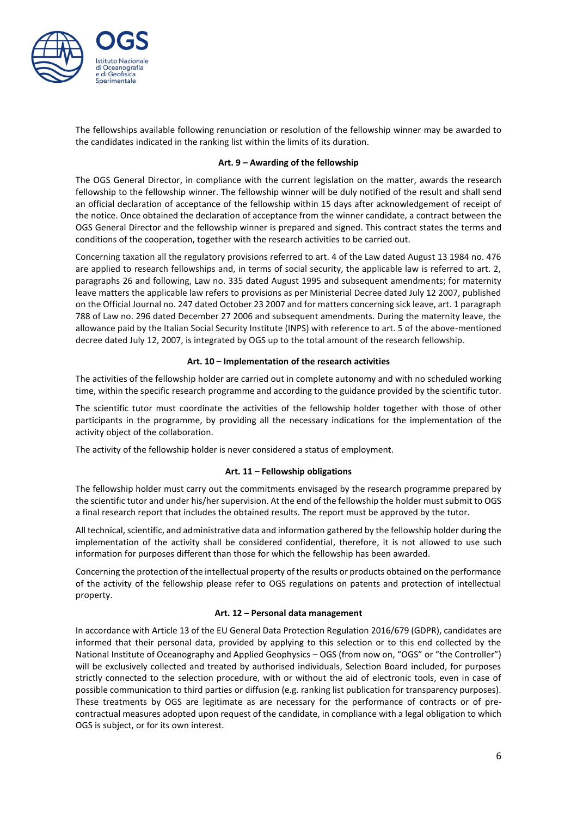

The fellowships available following renunciation or resolution of the fellowship winner may be awarded to the candidates indicated in the ranking list within the limits of its duration.

## **Art. 9 – Awarding of the fellowship**

The OGS General Director, in compliance with the current legislation on the matter, awards the research fellowship to the fellowship winner. The fellowship winner will be duly notified of the result and shall send an official declaration of acceptance of the fellowship within 15 days after acknowledgement of receipt of the notice. Once obtained the declaration of acceptance from the winner candidate, a contract between the OGS General Director and the fellowship winner is prepared and signed. This contract states the terms and conditions of the cooperation, together with the research activities to be carried out.

Concerning taxation all the regulatory provisions referred to art. 4 of the Law dated August 13 1984 no. 476 are applied to research fellowships and, in terms of social security, the applicable law is referred to art. 2, paragraphs 26 and following, Law no. 335 dated August 1995 and subsequent amendments; for maternity leave matters the applicable law refers to provisions as per Ministerial Decree dated July 12 2007, published on the Official Journal no. 247 dated October 23 2007 and for matters concerning sick leave, art. 1 paragraph 788 of Law no. 296 dated December 27 2006 and subsequent amendments. During the maternity leave, the allowance paid by the Italian Social Security Institute (INPS) with reference to art. 5 of the above-mentioned decree dated July 12, 2007, is integrated by OGS up to the total amount of the research fellowship.

## **Art. 10 – Implementation of the research activities**

The activities of the fellowship holder are carried out in complete autonomy and with no scheduled working time, within the specific research programme and according to the guidance provided by the scientific tutor.

The scientific tutor must coordinate the activities of the fellowship holder together with those of other participants in the programme, by providing all the necessary indications for the implementation of the activity object of the collaboration.

The activity of the fellowship holder is never considered a status of employment.

#### **Art. 11 – Fellowship obligations**

The fellowship holder must carry out the commitments envisaged by the research programme prepared by the scientific tutor and under his/her supervision. At the end of the fellowship the holder must submit to OGS a final research report that includes the obtained results. The report must be approved by the tutor.

All technical, scientific, and administrative data and information gathered by the fellowship holder during the implementation of the activity shall be considered confidential, therefore, it is not allowed to use such information for purposes different than those for which the fellowship has been awarded.

Concerning the protection of the intellectual property of the results or products obtained on the performance of the activity of the fellowship please refer to OGS regulations on patents and protection of intellectual property.

## **Art. 12 – Personal data management**

In accordance with Article 13 of the EU General Data Protection Regulation 2016/679 (GDPR), candidates are informed that their personal data, provided by applying to this selection or to this end collected by the National Institute of Oceanography and Applied Geophysics – OGS (from now on, "OGS" or "the Controller") will be exclusively collected and treated by authorised individuals, Selection Board included, for purposes strictly connected to the selection procedure, with or without the aid of electronic tools, even in case of possible communication to third parties or diffusion (e.g. ranking list publication for transparency purposes). These treatments by OGS are legitimate as are necessary for the performance of contracts or of precontractual measures adopted upon request of the candidate, in compliance with a legal obligation to which OGS is subject, or for its own interest.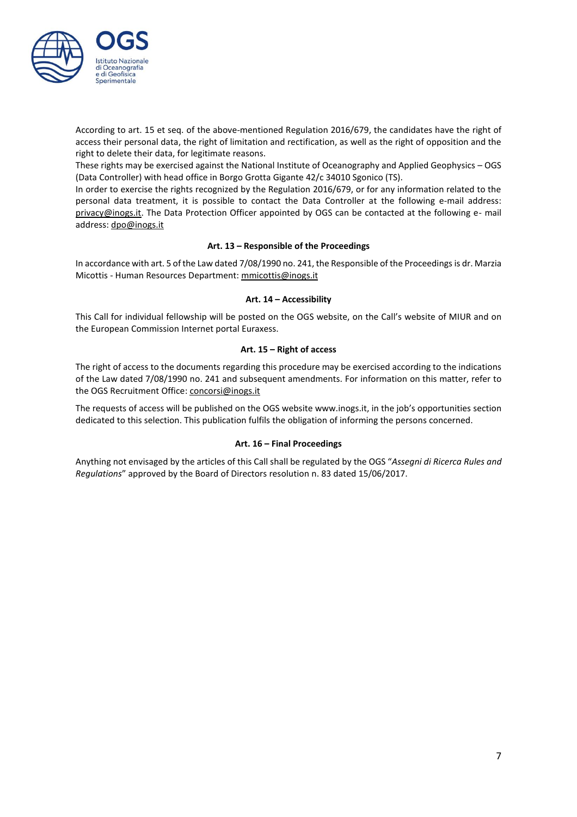

According to art. 15 et seq. of the above-mentioned Regulation 2016/679, the candidates have the right of access their personal data, the right of limitation and rectification, as well as the right of opposition and the right to delete their data, for legitimate reasons.

These rights may be exercised against the National Institute of Oceanography and Applied Geophysics – OGS (Data Controller) with head office in Borgo Grotta Gigante 42/c 34010 Sgonico (TS).

In order to exercise the rights recognized by the Regulation 2016/679, or for any information related to the personal data treatment, it is possible to contact the Data Controller at the following e-mail address: [privacy@inogs.it.](mailto:privacy@inogs.it) The Data Protection Officer appointed by OGS can be contacted at the following e- mail address[: dpo@inogs.it](mailto:dpo@inogs.it)

## **Art. 13 – Responsible of the Proceedings**

In accordance with art. 5 ofthe Law dated 7/08/1990 no. 241, the Responsible of the Proceedingsis dr. Marzia Micottis - Human Resources Department: [mmicottis@inogs.it](mailto:mmicottis@inogs.it)

## **Art. 14 – Accessibility**

This Call for individual fellowship will be posted on the OGS website, on the Call's website of MIUR and on the European Commission Internet portal Euraxess.

## **Art. 15 – Right of access**

The right of access to the documents regarding this procedure may be exercised according to the indications of the Law dated 7/08/1990 no. 241 and subsequent amendments. For information on this matter, refer to the OGS Recruitment Office: [concorsi@inogs.it](mailto:concorsi@inogs.it)

The requests of access will be published on the OGS website www.inogs.it, in the job's opportunities section dedicated to this selection. This publication fulfils the obligation of informing the persons concerned.

## **Art. 16 – Final Proceedings**

Anything not envisaged by the articles of this Call shall be regulated by the OGS "*Assegni di Ricerca Rules and Regulations*" approved by the Board of Directors resolution n. 83 dated 15/06/2017.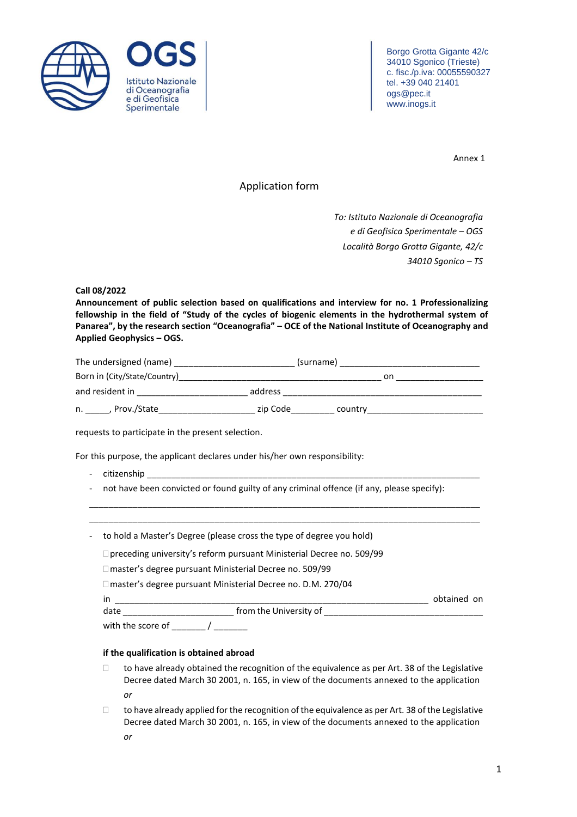



Borgo Grotta Gigante 42/c 34010 Sgonico (Trieste) c. fisc./p.iva: 00055590327 tel. +39 040 21401 ogs@pec.it www.inogs.it

Annex 1

## Application form

*To: Istituto Nazionale di Oceanografia e di Geofisica Sperimentale – OGS Località Borgo Grotta Gigante, 42/c 34010 Sgonico – TS*

## **Call 08/2022**

**Announcement of public selection based on qualifications and interview for no. 1 Professionalizing fellowship in the field of "Study of the cycles of biogenic elements in the hydrothermal system of Panarea", by the research section "Oceanografia" – OCE of the National Institute of Oceanography and Applied Geophysics – OGS.**

| The undersigned (name)       | (surname) |         |  |
|------------------------------|-----------|---------|--|
| Born in (City/State/Country) |           | on      |  |
| and resident in              | address   |         |  |
| . Prov./State_<br>n.         | zip Code  | country |  |

requests to participate in the present selection.

For this purpose, the applicant declares under his/her own responsibility:

- citizenship
- not have been convicted or found guilty of any criminal offence (if any, please specify):

\_\_\_\_\_\_\_\_\_\_\_\_\_\_\_\_\_\_\_\_\_\_\_\_\_\_\_\_\_\_\_\_\_\_\_\_\_\_\_\_\_\_\_\_\_\_\_\_\_\_\_\_\_\_\_\_\_\_\_\_\_\_\_\_\_\_\_\_\_\_\_\_\_\_\_\_\_\_\_\_\_ \_\_\_\_\_\_\_\_\_\_\_\_\_\_\_\_\_\_\_\_\_\_\_\_\_\_\_\_\_\_\_\_\_\_\_\_\_\_\_\_\_\_\_\_\_\_\_\_\_\_\_\_\_\_\_\_\_\_\_\_\_\_\_\_\_\_\_\_\_\_\_\_\_\_\_\_\_\_\_\_\_

- to hold a Master's Degree (please cross the type of degree you hold)
	- preceding university's reform pursuant Ministerial Decree no. 509/99
	- master's degree pursuant Ministerial Decree no. 509/99

□ master's degree pursuant Ministerial Decree no. D.M. 270/04

in \_\_\_\_\_\_\_\_\_\_\_\_\_\_\_\_\_\_\_\_\_\_\_\_\_\_\_\_\_\_\_\_\_\_\_\_\_\_\_\_\_\_\_\_\_\_\_\_\_\_\_\_\_\_\_\_\_\_\_\_\_\_\_\_\_ obtained on date date and the University of  $\sim$ 

with the score of  $\frac{1}{2}$  /  $\frac{1}{2}$ 

#### **if the qualification is obtained abroad**

- $\Box$  to have already obtained the recognition of the equivalence as per Art. 38 of the Legislative Decree dated March 30 2001, n. 165, in view of the documents annexed to the application *or*
- $\Box$  to have already applied for the recognition of the equivalence as per Art. 38 of the Legislative Decree dated March 30 2001, n. 165, in view of the documents annexed to the application *or*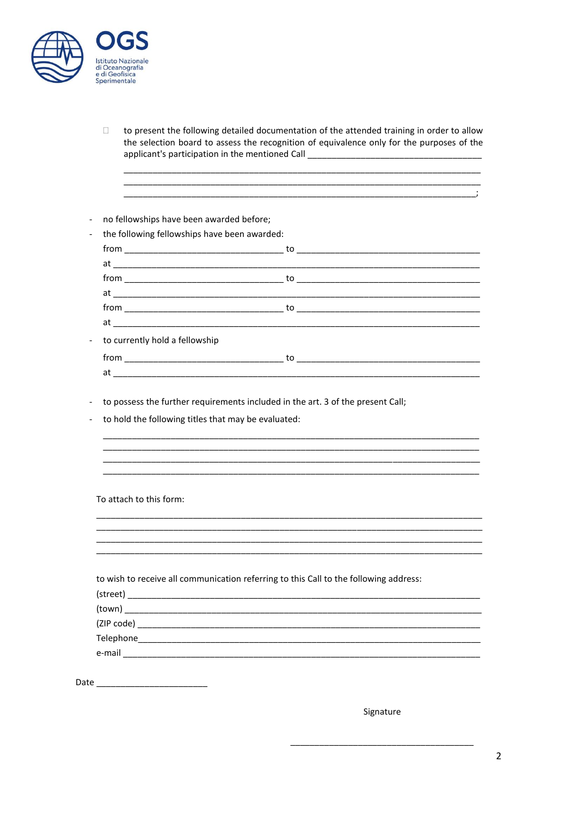

 $\Box$ to present the following detailed documentation of the attended training in order to allow the selection board to assess the recognition of equivalence only for the purposes of the applicant's participation in the mentioned Call \_\_\_\_\_\_\_\_\_\_\_\_\_\_\_\_

| the following fellowships have been awarded: |                                                                                       |  |
|----------------------------------------------|---------------------------------------------------------------------------------------|--|
|                                              |                                                                                       |  |
|                                              |                                                                                       |  |
|                                              |                                                                                       |  |
|                                              |                                                                                       |  |
|                                              |                                                                                       |  |
|                                              |                                                                                       |  |
| to currently hold a fellowship               |                                                                                       |  |
|                                              |                                                                                       |  |
|                                              |                                                                                       |  |
|                                              |                                                                                       |  |
|                                              |                                                                                       |  |
| To attach to this form:                      |                                                                                       |  |
|                                              |                                                                                       |  |
|                                              |                                                                                       |  |
|                                              | to wish to receive all communication referring to this Call to the following address: |  |
|                                              | $(\text{street})$                                                                     |  |
|                                              |                                                                                       |  |
|                                              |                                                                                       |  |

Signature

 $\cdot$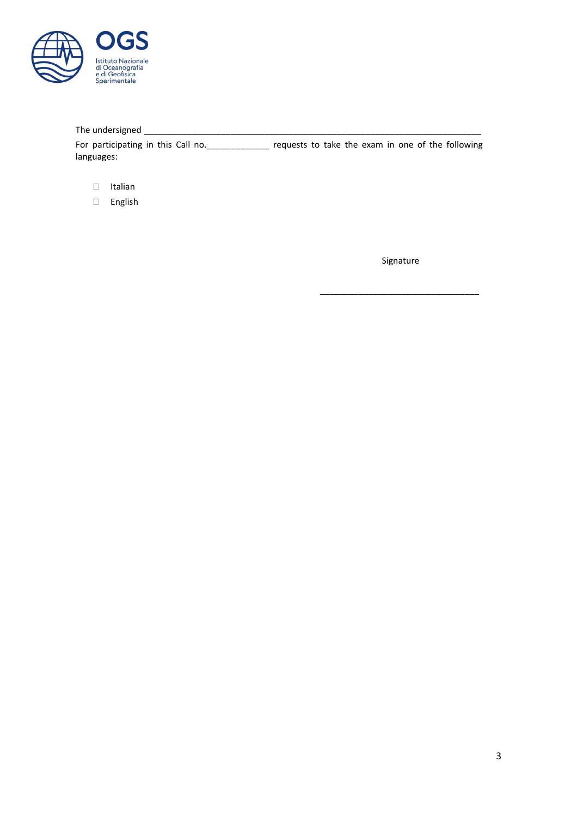

# The undersigned \_\_\_\_\_\_\_\_\_\_\_\_\_\_\_\_\_\_\_\_\_\_\_\_\_\_\_\_\_\_\_\_\_\_\_\_\_\_\_\_\_\_\_\_\_\_\_\_\_\_\_\_\_\_\_\_\_\_\_\_\_\_\_\_\_\_\_\_\_\_

For participating in this Call no. \_\_\_\_\_\_\_\_\_\_\_\_\_\_ requests to take the exam in one of the following languages:

- Italian
- English

Signature

\_\_\_\_\_\_\_\_\_\_\_\_\_\_\_\_\_\_\_\_\_\_\_\_\_\_\_\_\_\_\_\_\_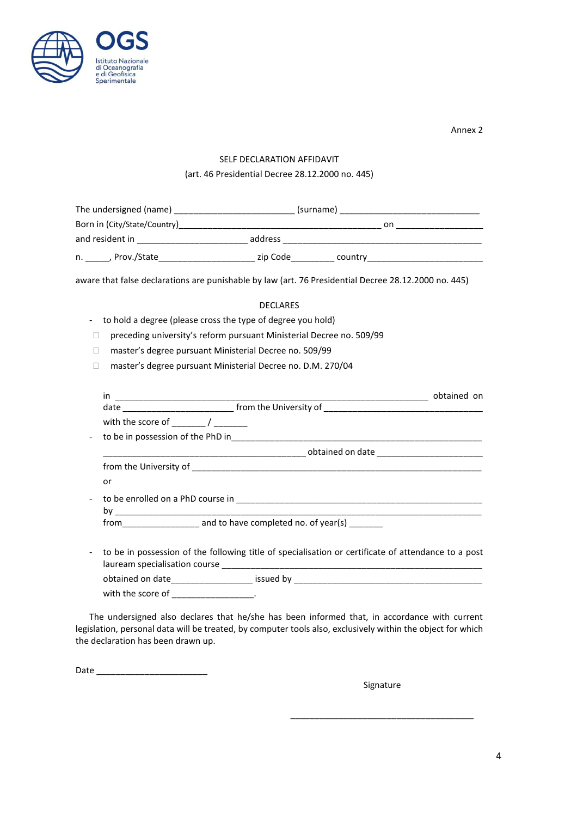

Annex 2

## SELF DECLARATION AFFIDAVIT

## (art. 46 Presidential Decree 28.12.2000 no. 445)

| The undersigned (name)       | (surname) |         |  |
|------------------------------|-----------|---------|--|
| Born in (City/State/Country) |           | on      |  |
| and resident in              | address   |         |  |
| , Prov./State<br>n.          | zip Code  | country |  |

aware that false declarations are punishable by law (art. 76 Presidential Decree 28.12.2000 no. 445)

#### DECLARES

- to hold a degree (please cross the type of degree you hold)
- preceding university's reform pursuant Ministerial Decree no. 509/99
- □ master's degree pursuant Ministerial Decree no. 509/99
- master's degree pursuant Ministerial Decree no. D.M. 270/04

| in                                                                                                              |  |
|-----------------------------------------------------------------------------------------------------------------|--|
|                                                                                                                 |  |
| with the score of Theory Assembly                                                                               |  |
|                                                                                                                 |  |
| distribution of the control of the control of the control of the control of the control of the control of the c |  |
|                                                                                                                 |  |
| or                                                                                                              |  |
|                                                                                                                 |  |
| from and to have completed no. of year(s)                                                                       |  |
| to be in possession of the following title of specialisation or certificate of attendance to a post             |  |
| obtained on date_____________________ issued by ________________________________                                |  |

with the score of \_\_\_\_\_\_\_\_\_\_\_\_\_\_\_\_\_.

The undersigned also declares that he/she has been informed that, in accordance with current legislation, personal data will be treated, by computer tools also, exclusively within the object for which the declaration has been drawn up.

Date \_\_\_\_\_\_\_\_\_\_\_\_\_\_\_\_\_\_\_\_\_\_\_

Signature

\_\_\_\_\_\_\_\_\_\_\_\_\_\_\_\_\_\_\_\_\_\_\_\_\_\_\_\_\_\_\_\_\_\_\_\_\_\_